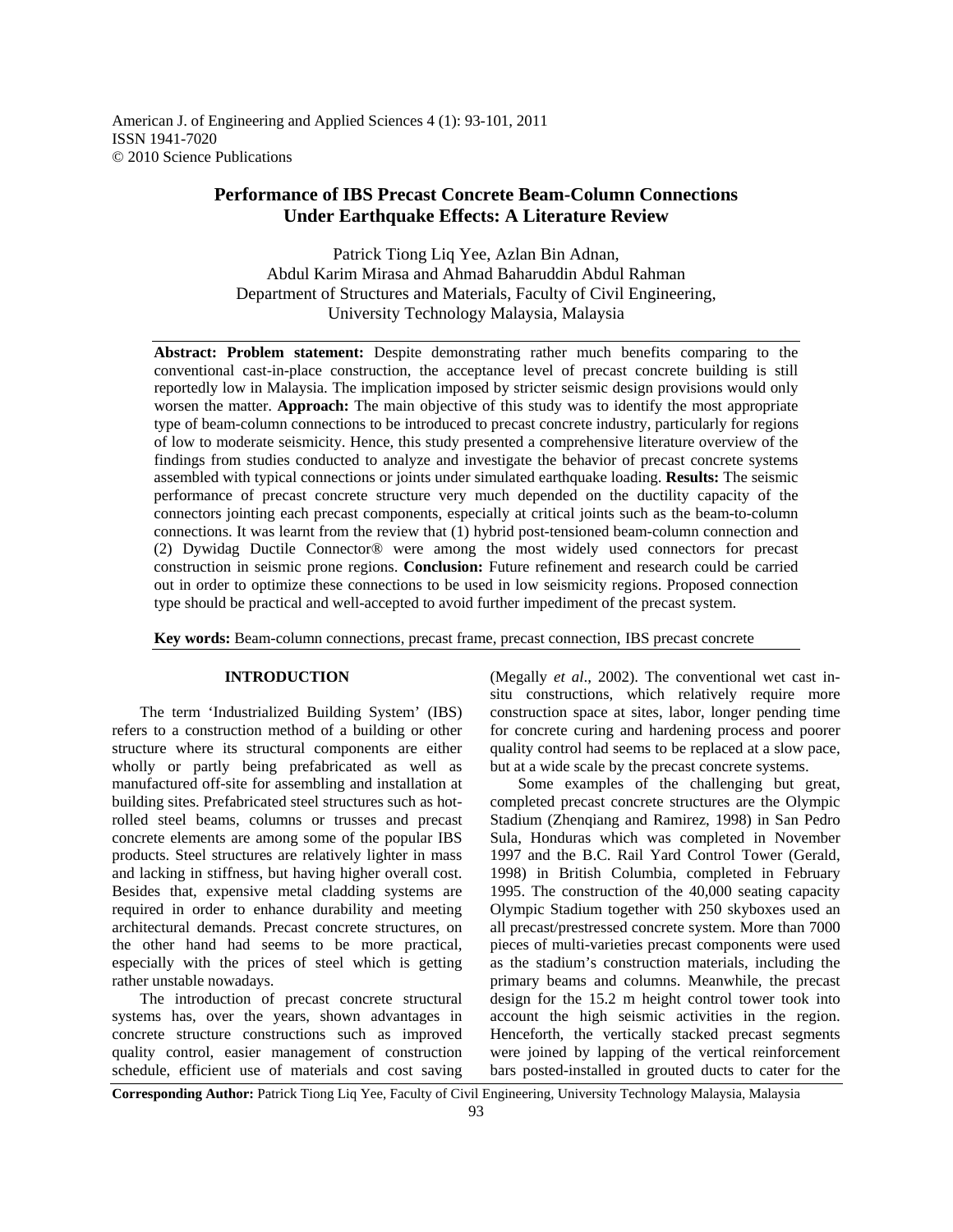American J. of Engineering and Applied Sciences 4 (1): 93-101, 2011 ISSN 1941-7020 © 2010 Science Publications

# **Performance of IBS Precast Concrete Beam-Column Connections Under Earthquake Effects: A Literature Review**

Patrick Tiong Liq Yee, Azlan Bin Adnan, Abdul Karim Mirasa and Ahmad Baharuddin Abdul Rahman Department of Structures and Materials, Faculty of Civil Engineering, University Technology Malaysia, Malaysia

**Abstract: Problem statement:** Despite demonstrating rather much benefits comparing to the conventional cast-in-place construction, the acceptance level of precast concrete building is still reportedly low in Malaysia. The implication imposed by stricter seismic design provisions would only worsen the matter. **Approach:** The main objective of this study was to identify the most appropriate type of beam-column connections to be introduced to precast concrete industry, particularly for regions of low to moderate seismicity. Hence, this study presented a comprehensive literature overview of the findings from studies conducted to analyze and investigate the behavior of precast concrete systems assembled with typical connections or joints under simulated earthquake loading. **Results:** The seismic performance of precast concrete structure very much depended on the ductility capacity of the connectors jointing each precast components, especially at critical joints such as the beam-to-column connections. It was learnt from the review that (1) hybrid post-tensioned beam-column connection and (2) Dywidag Ductile Connector® were among the most widely used connectors for precast construction in seismic prone regions. **Conclusion:** Future refinement and research could be carried out in order to optimize these connections to be used in low seismicity regions. Proposed connection type should be practical and well-accepted to avoid further impediment of the precast system.

**Key words:** Beam-column connections, precast frame, precast connection, IBS precast concrete

### **INTRODUCTION**

 The term 'Industrialized Building System' (IBS) refers to a construction method of a building or other structure where its structural components are either wholly or partly being prefabricated as well as manufactured off-site for assembling and installation at building sites. Prefabricated steel structures such as hotrolled steel beams, columns or trusses and precast concrete elements are among some of the popular IBS products. Steel structures are relatively lighter in mass and lacking in stiffness, but having higher overall cost. Besides that, expensive metal cladding systems are required in order to enhance durability and meeting architectural demands. Precast concrete structures, on the other hand had seems to be more practical, especially with the prices of steel which is getting rather unstable nowadays.

 The introduction of precast concrete structural systems has, over the years, shown advantages in concrete structure constructions such as improved quality control, easier management of construction schedule, efficient use of materials and cost saving

(Megally *et al*., 2002). The conventional wet cast insitu constructions, which relatively require more construction space at sites, labor, longer pending time for concrete curing and hardening process and poorer quality control had seems to be replaced at a slow pace, but at a wide scale by the precast concrete systems.

 Some examples of the challenging but great, completed precast concrete structures are the Olympic Stadium (Zhenqiang and Ramirez, 1998) in San Pedro Sula, Honduras which was completed in November 1997 and the B.C. Rail Yard Control Tower (Gerald, 1998) in British Columbia, completed in February 1995. The construction of the 40,000 seating capacity Olympic Stadium together with 250 skyboxes used an all precast/prestressed concrete system. More than 7000 pieces of multi-varieties precast components were used as the stadium's construction materials, including the primary beams and columns. Meanwhile, the precast design for the 15.2 m height control tower took into account the high seismic activities in the region. Henceforth, the vertically stacked precast segments were joined by lapping of the vertical reinforcement bars posted-installed in grouted ducts to cater for the

**Corresponding Author:** Patrick Tiong Liq Yee, Faculty of Civil Engineering, University Technology Malaysia, Malaysia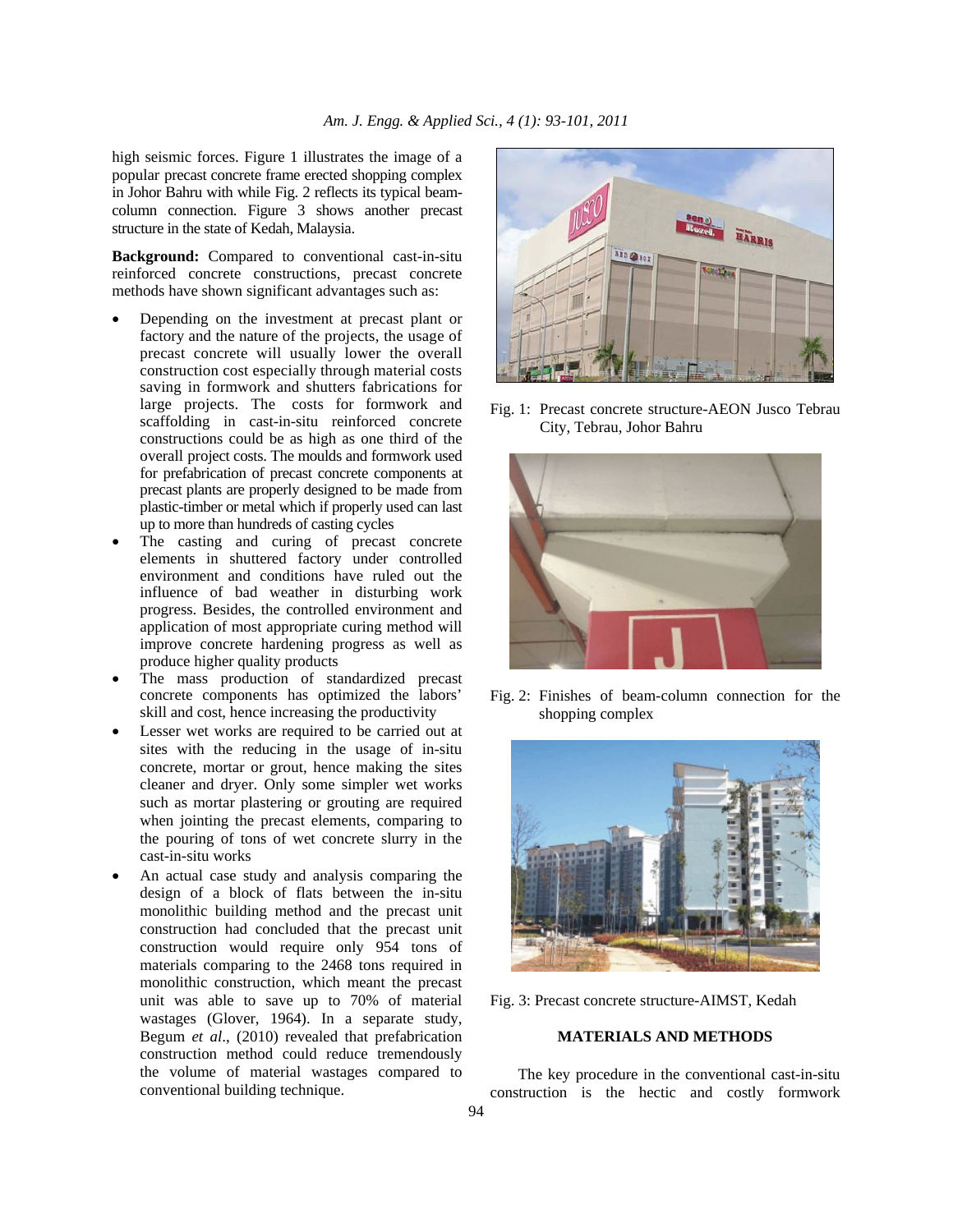high seismic forces. Figure 1 illustrates the image of a popular precast concrete frame erected shopping complex in Johor Bahru with while Fig. 2 reflects its typical beamcolumn connection. Figure 3 shows another precast structure in the state of Kedah, Malaysia.

**Background:** Compared to conventional cast-in-situ reinforced concrete constructions, precast concrete methods have shown significant advantages such as:

- Depending on the investment at precast plant or factory and the nature of the projects, the usage of precast concrete will usually lower the overall construction cost especially through material costs saving in formwork and shutters fabrications for large projects. The costs for formwork and scaffolding in cast-in-situ reinforced concrete constructions could be as high as one third of the overall project costs. The moulds and formwork used for prefabrication of precast concrete components at precast plants are properly designed to be made from plastic-timber or metal which if properly used can last up to more than hundreds of casting cycles
- The casting and curing of precast concrete elements in shuttered factory under controlled environment and conditions have ruled out the influence of bad weather in disturbing work progress. Besides, the controlled environment and application of most appropriate curing method will improve concrete hardening progress as well as produce higher quality products
- The mass production of standardized precast concrete components has optimized the labors' skill and cost, hence increasing the productivity
- Lesser wet works are required to be carried out at sites with the reducing in the usage of in-situ concrete, mortar or grout, hence making the sites cleaner and dryer. Only some simpler wet works such as mortar plastering or grouting are required when jointing the precast elements, comparing to the pouring of tons of wet concrete slurry in the cast-in-situ works
- An actual case study and analysis comparing the design of a block of flats between the in-situ monolithic building method and the precast unit construction had concluded that the precast unit construction would require only 954 tons of materials comparing to the 2468 tons required in monolithic construction, which meant the precast unit was able to save up to 70% of material wastages (Glover, 1964). In a separate study, Begum *et al*., (2010) revealed that prefabrication construction method could reduce tremendously the volume of material wastages compared to conventional building technique.



Fig. 1: Precast concrete structure-AEON Jusco Tebrau City, Tebrau, Johor Bahru



Fig. 2: Finishes of beam-column connection for the shopping complex



Fig. 3: Precast concrete structure-AIMST, Kedah

## **MATERIALS AND METHODS**

 The key procedure in the conventional cast-in-situ construction is the hectic and costly formwork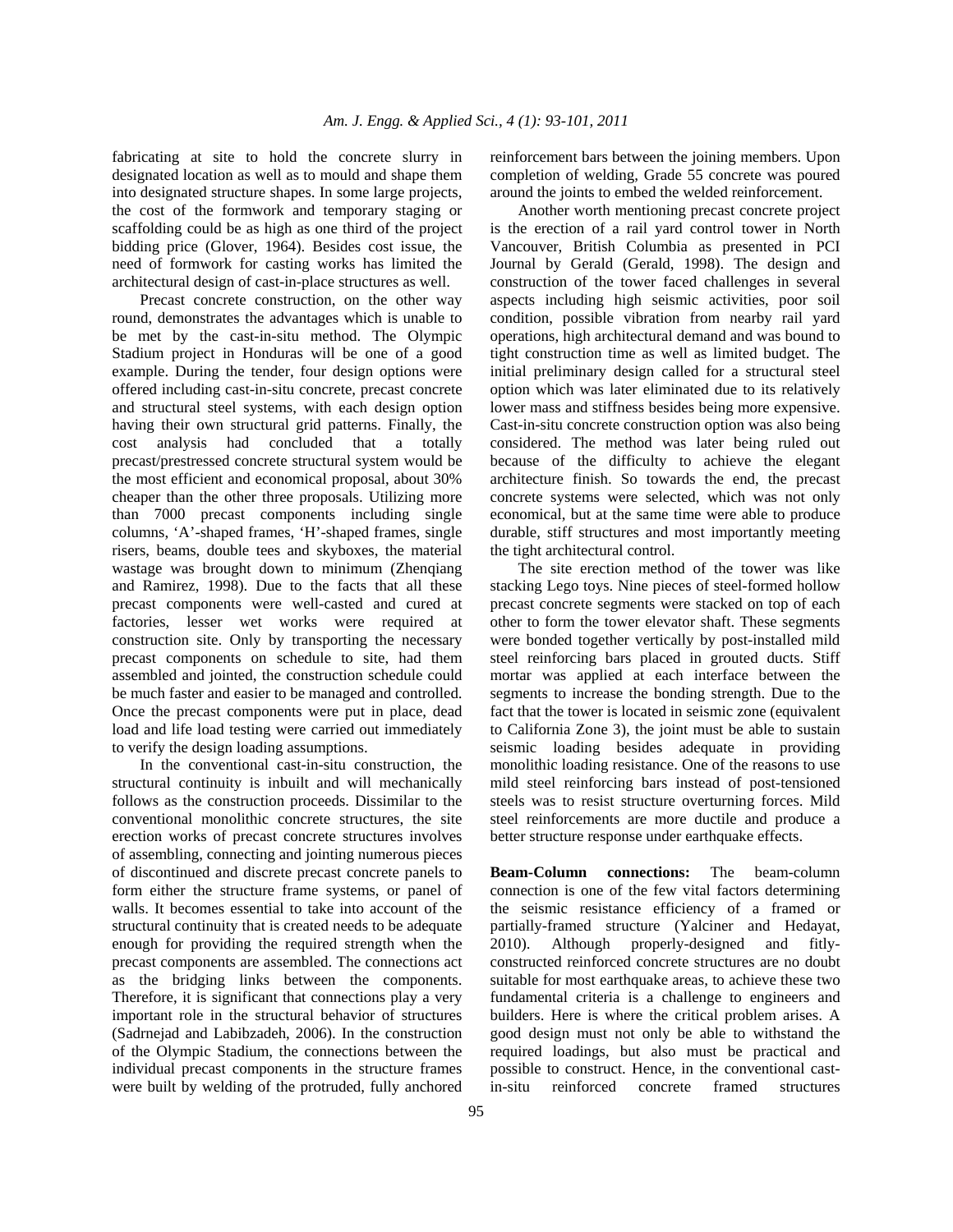fabricating at site to hold the concrete slurry in designated location as well as to mould and shape them into designated structure shapes. In some large projects, the cost of the formwork and temporary staging or scaffolding could be as high as one third of the project bidding price (Glover, 1964). Besides cost issue, the need of formwork for casting works has limited the architectural design of cast-in-place structures as well.

 Precast concrete construction, on the other way round, demonstrates the advantages which is unable to be met by the cast-in-situ method. The Olympic Stadium project in Honduras will be one of a good example. During the tender, four design options were offered including cast-in-situ concrete, precast concrete and structural steel systems, with each design option having their own structural grid patterns. Finally, the cost analysis had concluded that a totally precast/prestressed concrete structural system would be the most efficient and economical proposal, about 30% cheaper than the other three proposals. Utilizing more than 7000 precast components including single columns, 'A'-shaped frames, 'H'-shaped frames, single risers, beams, double tees and skyboxes, the material wastage was brought down to minimum (Zhenqiang and Ramirez, 1998). Due to the facts that all these precast components were well-casted and cured at factories, lesser wet works were required at construction site. Only by transporting the necessary precast components on schedule to site, had them assembled and jointed, the construction schedule could be much faster and easier to be managed and controlled. Once the precast components were put in place, dead load and life load testing were carried out immediately to verify the design loading assumptions.

 In the conventional cast-in-situ construction, the structural continuity is inbuilt and will mechanically follows as the construction proceeds. Dissimilar to the conventional monolithic concrete structures, the site erection works of precast concrete structures involves of assembling, connecting and jointing numerous pieces of discontinued and discrete precast concrete panels to form either the structure frame systems, or panel of walls. It becomes essential to take into account of the structural continuity that is created needs to be adequate enough for providing the required strength when the precast components are assembled. The connections act as the bridging links between the components. Therefore, it is significant that connections play a very important role in the structural behavior of structures (Sadrnejad and Labibzadeh, 2006). In the construction of the Olympic Stadium, the connections between the individual precast components in the structure frames were built by welding of the protruded, fully anchored

reinforcement bars between the joining members. Upon completion of welding, Grade 55 concrete was poured around the joints to embed the welded reinforcement.

 Another worth mentioning precast concrete project is the erection of a rail yard control tower in North Vancouver, British Columbia as presented in PCI Journal by Gerald (Gerald, 1998). The design and construction of the tower faced challenges in several aspects including high seismic activities, poor soil condition, possible vibration from nearby rail yard operations, high architectural demand and was bound to tight construction time as well as limited budget. The initial preliminary design called for a structural steel option which was later eliminated due to its relatively lower mass and stiffness besides being more expensive. Cast-in-situ concrete construction option was also being considered. The method was later being ruled out because of the difficulty to achieve the elegant architecture finish. So towards the end, the precast concrete systems were selected, which was not only economical, but at the same time were able to produce durable, stiff structures and most importantly meeting the tight architectural control.

 The site erection method of the tower was like stacking Lego toys. Nine pieces of steel-formed hollow precast concrete segments were stacked on top of each other to form the tower elevator shaft. These segments were bonded together vertically by post-installed mild steel reinforcing bars placed in grouted ducts. Stiff mortar was applied at each interface between the segments to increase the bonding strength. Due to the fact that the tower is located in seismic zone (equivalent to California Zone 3), the joint must be able to sustain seismic loading besides adequate in providing monolithic loading resistance. One of the reasons to use mild steel reinforcing bars instead of post-tensioned steels was to resist structure overturning forces. Mild steel reinforcements are more ductile and produce a better structure response under earthquake effects.

**Beam-Column connections:** The beam-column connection is one of the few vital factors determining the seismic resistance efficiency of a framed or partially-framed structure (Yalciner and Hedayat, 2010). Although properly-designed and fitlyconstructed reinforced concrete structures are no doubt suitable for most earthquake areas, to achieve these two fundamental criteria is a challenge to engineers and builders. Here is where the critical problem arises. A good design must not only be able to withstand the required loadings, but also must be practical and possible to construct. Hence, in the conventional castin-situ reinforced concrete framed structures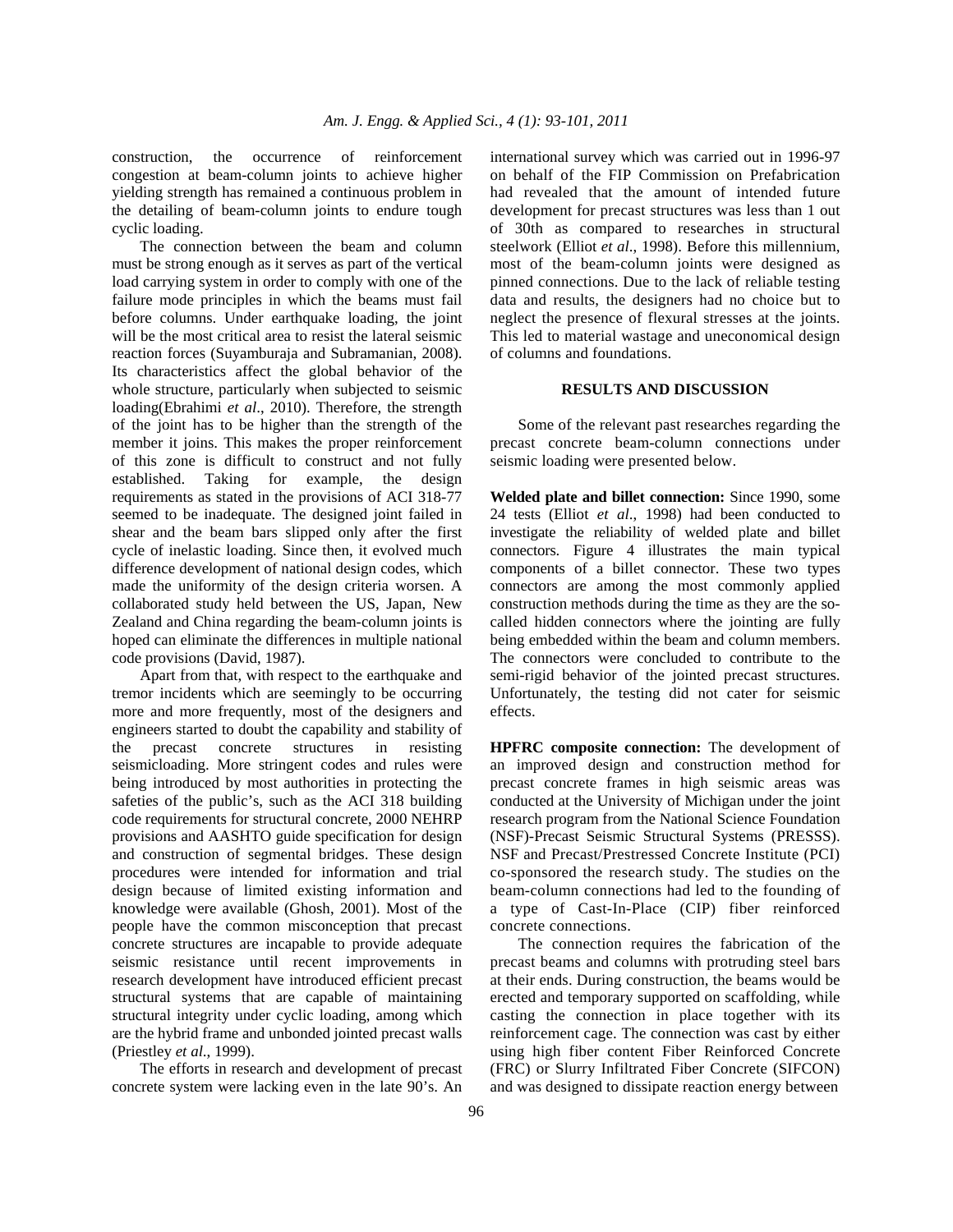construction, the occurrence of reinforcement congestion at beam-column joints to achieve higher yielding strength has remained a continuous problem in the detailing of beam-column joints to endure tough cyclic loading.

 The connection between the beam and column must be strong enough as it serves as part of the vertical load carrying system in order to comply with one of the failure mode principles in which the beams must fail before columns. Under earthquake loading, the joint will be the most critical area to resist the lateral seismic reaction forces (Suyamburaja and Subramanian, 2008). Its characteristics affect the global behavior of the whole structure, particularly when subjected to seismic loading(Ebrahimi *et al*., 2010). Therefore, the strength of the joint has to be higher than the strength of the member it joins. This makes the proper reinforcement of this zone is difficult to construct and not fully established. Taking for example, the design requirements as stated in the provisions of ACI 318-77 seemed to be inadequate. The designed joint failed in shear and the beam bars slipped only after the first cycle of inelastic loading. Since then, it evolved much difference development of national design codes, which made the uniformity of the design criteria worsen. A collaborated study held between the US, Japan, New Zealand and China regarding the beam-column joints is hoped can eliminate the differences in multiple national code provisions (David, 1987).

 Apart from that, with respect to the earthquake and tremor incidents which are seemingly to be occurring more and more frequently, most of the designers and engineers started to doubt the capability and stability of the precast concrete structures in resisting seismicloading. More stringent codes and rules were being introduced by most authorities in protecting the safeties of the public's, such as the ACI 318 building code requirements for structural concrete, 2000 NEHRP provisions and AASHTO guide specification for design and construction of segmental bridges. These design procedures were intended for information and trial design because of limited existing information and knowledge were available (Ghosh, 2001). Most of the people have the common misconception that precast concrete structures are incapable to provide adequate seismic resistance until recent improvements in research development have introduced efficient precast structural systems that are capable of maintaining structural integrity under cyclic loading, among which are the hybrid frame and unbonded jointed precast walls (Priestley *et al*., 1999).

 The efforts in research and development of precast concrete system were lacking even in the late 90's. An international survey which was carried out in 1996-97 on behalf of the FIP Commission on Prefabrication had revealed that the amount of intended future development for precast structures was less than 1 out of 30th as compared to researches in structural steelwork (Elliot *et al*., 1998). Before this millennium, most of the beam-column joints were designed as pinned connections. Due to the lack of reliable testing data and results, the designers had no choice but to neglect the presence of flexural stresses at the joints. This led to material wastage and uneconomical design of columns and foundations.

#### **RESULTS AND DISCUSSION**

 Some of the relevant past researches regarding the precast concrete beam-column connections under seismic loading were presented below.

**Welded plate and billet connection:** Since 1990, some 24 tests (Elliot *et al*., 1998) had been conducted to investigate the reliability of welded plate and billet connectors. Figure 4 illustrates the main typical components of a billet connector. These two types connectors are among the most commonly applied construction methods during the time as they are the socalled hidden connectors where the jointing are fully being embedded within the beam and column members. The connectors were concluded to contribute to the semi-rigid behavior of the jointed precast structures. Unfortunately, the testing did not cater for seismic effects.

**HPFRC composite connection:** The development of an improved design and construction method for precast concrete frames in high seismic areas was conducted at the University of Michigan under the joint research program from the National Science Foundation (NSF)-Precast Seismic Structural Systems (PRESSS). NSF and Precast/Prestressed Concrete Institute (PCI) co-sponsored the research study. The studies on the beam-column connections had led to the founding of a type of Cast-In-Place (CIP) fiber reinforced concrete connections.

 The connection requires the fabrication of the precast beams and columns with protruding steel bars at their ends. During construction, the beams would be erected and temporary supported on scaffolding, while casting the connection in place together with its reinforcement cage. The connection was cast by either using high fiber content Fiber Reinforced Concrete (FRC) or Slurry Infiltrated Fiber Concrete (SIFCON) and was designed to dissipate reaction energy between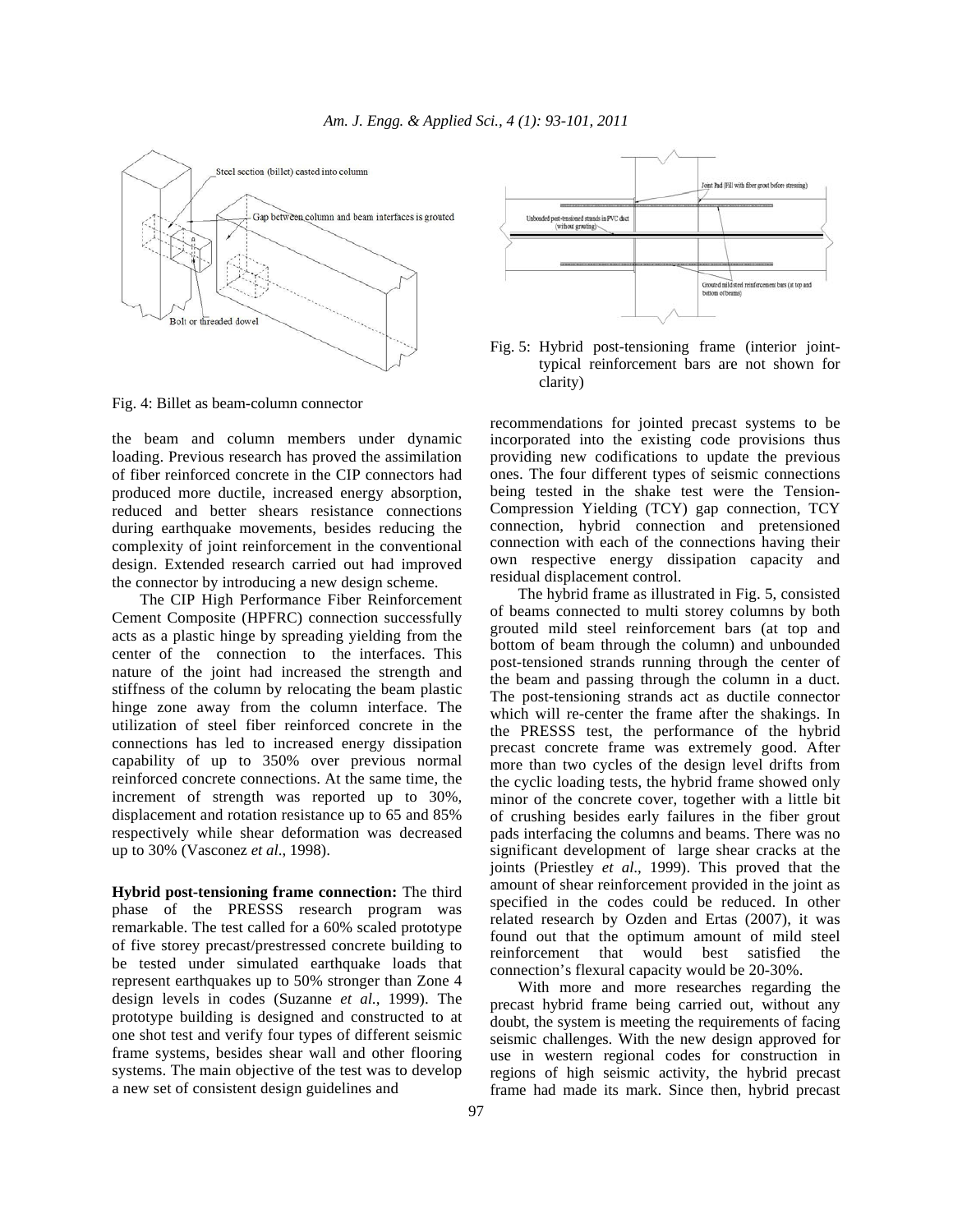

Fig. 4: Billet as beam-column connector

the beam and column members under dynamic loading. Previous research has proved the assimilation of fiber reinforced concrete in the CIP connectors had produced more ductile, increased energy absorption, reduced and better shears resistance connections during earthquake movements, besides reducing the complexity of joint reinforcement in the conventional design. Extended research carried out had improved the connector by introducing a new design scheme.

 The CIP High Performance Fiber Reinforcement Cement Composite (HPFRC) connection successfully acts as a plastic hinge by spreading yielding from the center of the connection to the interfaces. This nature of the joint had increased the strength and stiffness of the column by relocating the beam plastic hinge zone away from the column interface. The utilization of steel fiber reinforced concrete in the connections has led to increased energy dissipation capability of up to 350% over previous normal reinforced concrete connections. At the same time, the increment of strength was reported up to 30%, displacement and rotation resistance up to 65 and 85% respectively while shear deformation was decreased up to 30% (Vasconez *et al*., 1998).

**Hybrid post-tensioning frame connection:** The third phase of the PRESSS research program was remarkable. The test called for a 60% scaled prototype of five storey precast/prestressed concrete building to be tested under simulated earthquake loads that represent earthquakes up to 50% stronger than Zone 4 design levels in codes (Suzanne *et al*., 1999). The prototype building is designed and constructed to at one shot test and verify four types of different seismic frame systems, besides shear wall and other flooring systems. The main objective of the test was to develop a new set of consistent design guidelines and



Fig. 5: Hybrid post-tensioning frame (interior jointtypical reinforcement bars are not shown for clarity)

recommendations for jointed precast systems to be incorporated into the existing code provisions thus providing new codifications to update the previous ones. The four different types of seismic connections being tested in the shake test were the Tension-Compression Yielding (TCY) gap connection, TCY connection, hybrid connection and pretensioned connection with each of the connections having their own respective energy dissipation capacity and residual displacement control.

 The hybrid frame as illustrated in Fig. 5, consisted of beams connected to multi storey columns by both grouted mild steel reinforcement bars (at top and bottom of beam through the column) and unbounded post-tensioned strands running through the center of the beam and passing through the column in a duct. The post-tensioning strands act as ductile connector which will re-center the frame after the shakings. In the PRESSS test, the performance of the hybrid precast concrete frame was extremely good. After more than two cycles of the design level drifts from the cyclic loading tests, the hybrid frame showed only minor of the concrete cover, together with a little bit of crushing besides early failures in the fiber grout pads interfacing the columns and beams. There was no significant development of large shear cracks at the joints (Priestley *et al*., 1999). This proved that the amount of shear reinforcement provided in the joint as specified in the codes could be reduced. In other related research by Ozden and Ertas (2007), it was found out that the optimum amount of mild steel reinforcement that would best satisfied the connection's flexural capacity would be 20-30%.

 With more and more researches regarding the precast hybrid frame being carried out, without any doubt, the system is meeting the requirements of facing seismic challenges. With the new design approved for use in western regional codes for construction in regions of high seismic activity, the hybrid precast frame had made its mark. Since then, hybrid precast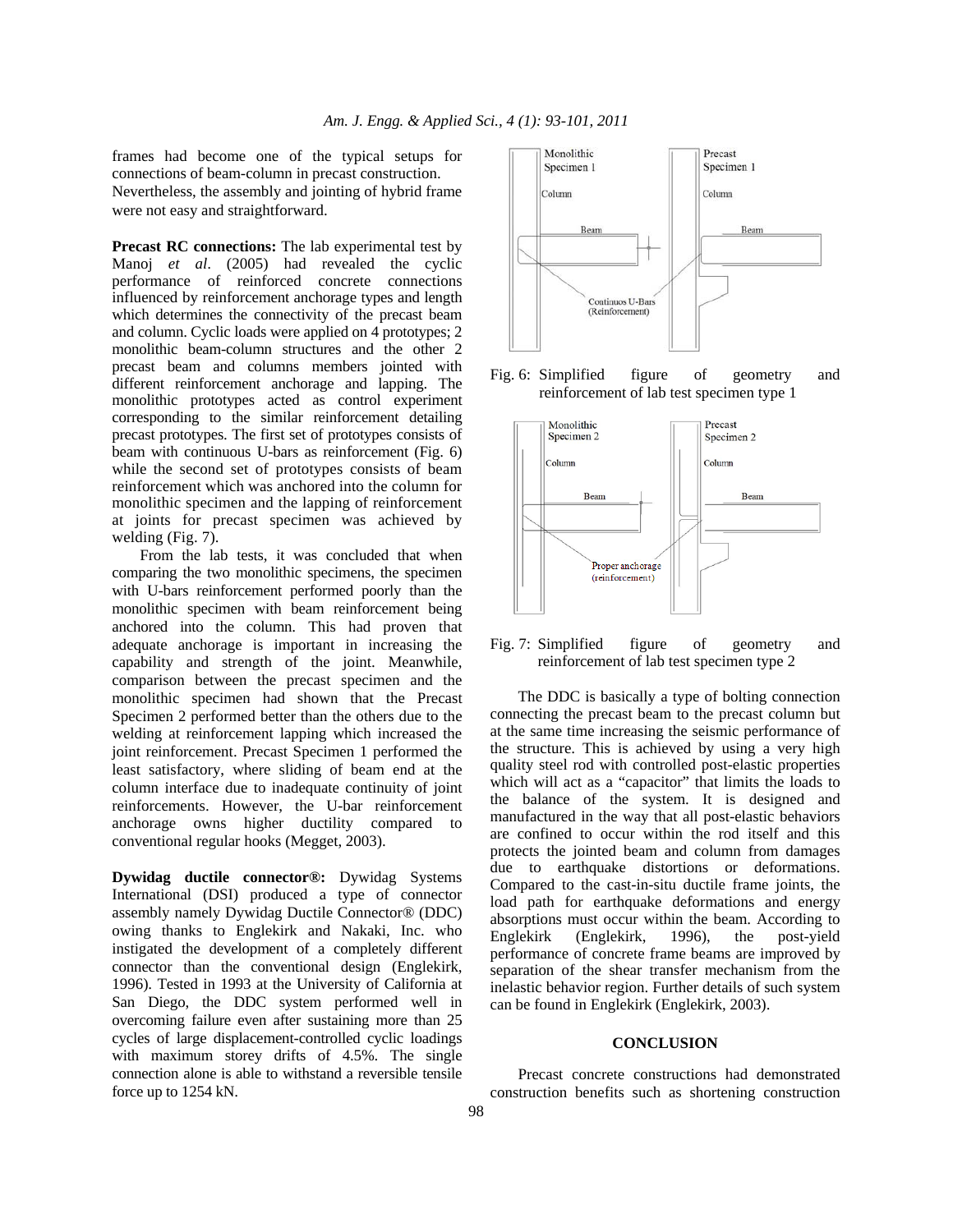frames had become one of the typical setups for connections of beam-column in precast construction. Nevertheless, the assembly and jointing of hybrid frame were not easy and straightforward.

**Precast RC connections:** The lab experimental test by Manoj *et al*. (2005) had revealed the cyclic performance of reinforced concrete connections influenced by reinforcement anchorage types and length which determines the connectivity of the precast beam and column. Cyclic loads were applied on 4 prototypes; 2 monolithic beam-column structures and the other 2 precast beam and columns members jointed with different reinforcement anchorage and lapping. The monolithic prototypes acted as control experiment corresponding to the similar reinforcement detailing precast prototypes. The first set of prototypes consists of beam with continuous U-bars as reinforcement (Fig. 6) while the second set of prototypes consists of beam reinforcement which was anchored into the column for monolithic specimen and the lapping of reinforcement at joints for precast specimen was achieved by welding (Fig. 7).

 From the lab tests, it was concluded that when comparing the two monolithic specimens, the specimen with U-bars reinforcement performed poorly than the monolithic specimen with beam reinforcement being anchored into the column. This had proven that adequate anchorage is important in increasing the capability and strength of the joint. Meanwhile, comparison between the precast specimen and the monolithic specimen had shown that the Precast Specimen 2 performed better than the others due to the welding at reinforcement lapping which increased the joint reinforcement. Precast Specimen 1 performed the least satisfactory, where sliding of beam end at the column interface due to inadequate continuity of joint reinforcements. However, the U-bar reinforcement anchorage owns higher ductility compared to conventional regular hooks (Megget, 2003).

**Dywidag ductile connector®:** Dywidag Systems International (DSI) produced a type of connector assembly namely Dywidag Ductile Connector® (DDC) owing thanks to Englekirk and Nakaki, Inc. who instigated the development of a completely different connector than the conventional design (Englekirk, 1996). Tested in 1993 at the University of California at San Diego, the DDC system performed well in overcoming failure even after sustaining more than 25 cycles of large displacement-controlled cyclic loadings with maximum storey drifts of 4.5%. The single connection alone is able to withstand a reversible tensile force up to 1254 kN.



Fig. 6: Simplified figure of geometry and reinforcement of lab test specimen type 1



Fig. 7: Simplified figure of geometry and reinforcement of lab test specimen type 2

 The DDC is basically a type of bolting connection connecting the precast beam to the precast column but at the same time increasing the seismic performance of the structure. This is achieved by using a very high quality steel rod with controlled post-elastic properties which will act as a "capacitor" that limits the loads to the balance of the system. It is designed and manufactured in the way that all post-elastic behaviors are confined to occur within the rod itself and this protects the jointed beam and column from damages due to earthquake distortions or deformations. Compared to the cast-in-situ ductile frame joints, the load path for earthquake deformations and energy absorptions must occur within the beam. According to Englekirk (Englekirk, 1996), the post-yield performance of concrete frame beams are improved by separation of the shear transfer mechanism from the inelastic behavior region. Further details of such system can be found in Englekirk (Englekirk, 2003).

#### **CONCLUSION**

 Precast concrete constructions had demonstrated construction benefits such as shortening construction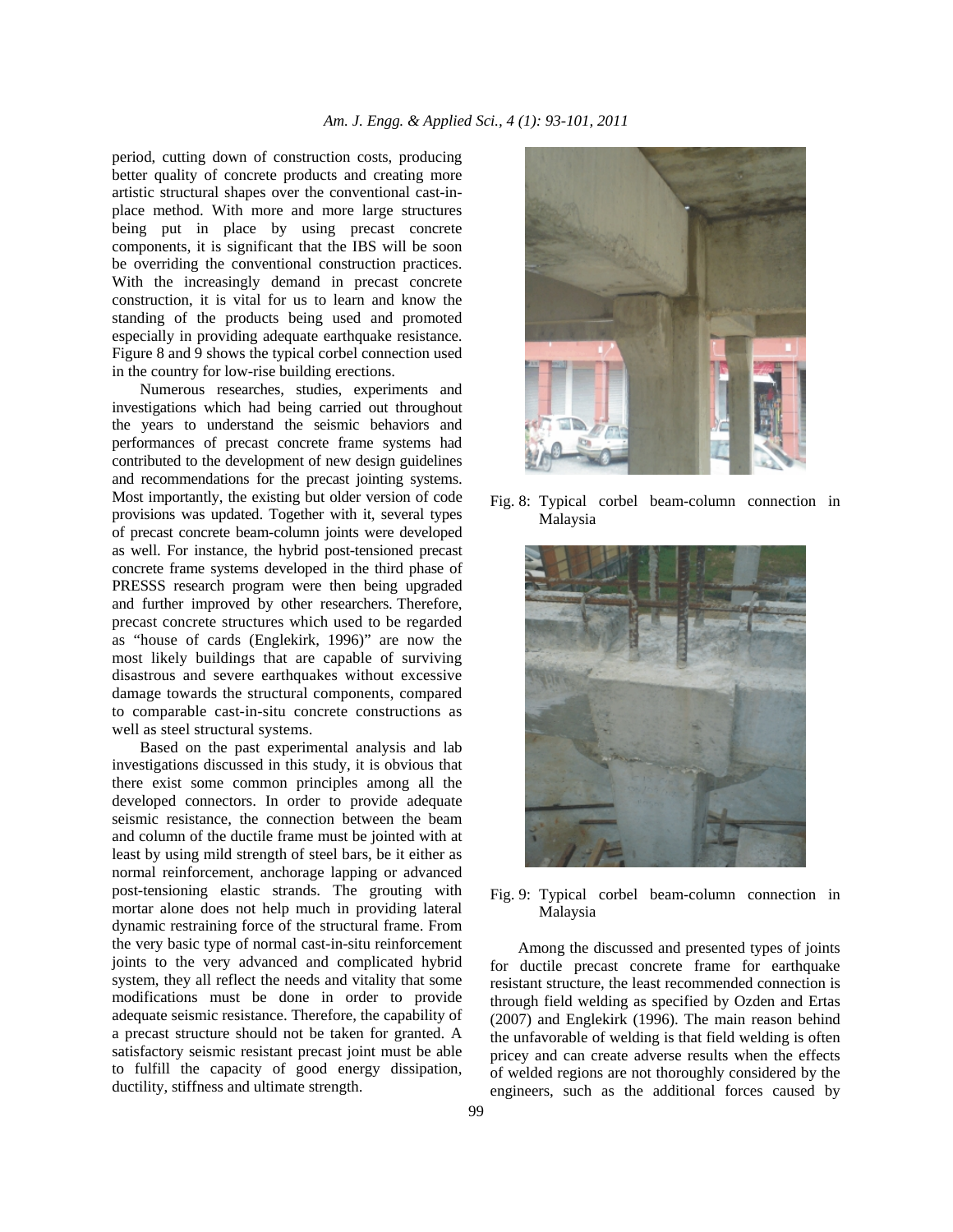period, cutting down of construction costs, producing better quality of concrete products and creating more artistic structural shapes over the conventional cast-inplace method. With more and more large structures being put in place by using precast concrete components, it is significant that the IBS will be soon be overriding the conventional construction practices. With the increasingly demand in precast concrete construction, it is vital for us to learn and know the standing of the products being used and promoted especially in providing adequate earthquake resistance. Figure 8 and 9 shows the typical corbel connection used in the country for low-rise building erections.

 Numerous researches, studies, experiments and investigations which had being carried out throughout the years to understand the seismic behaviors and performances of precast concrete frame systems had contributed to the development of new design guidelines and recommendations for the precast jointing systems. Most importantly, the existing but older version of code provisions was updated. Together with it, several types of precast concrete beam-column joints were developed as well. For instance, the hybrid post-tensioned precast concrete frame systems developed in the third phase of PRESSS research program were then being upgraded and further improved by other researchers. Therefore, precast concrete structures which used to be regarded as "house of cards (Englekirk, 1996)" are now the most likely buildings that are capable of surviving disastrous and severe earthquakes without excessive damage towards the structural components, compared to comparable cast-in-situ concrete constructions as well as steel structural systems.

 Based on the past experimental analysis and lab investigations discussed in this study, it is obvious that there exist some common principles among all the developed connectors. In order to provide adequate seismic resistance, the connection between the beam and column of the ductile frame must be jointed with at least by using mild strength of steel bars, be it either as normal reinforcement, anchorage lapping or advanced post-tensioning elastic strands. The grouting with mortar alone does not help much in providing lateral dynamic restraining force of the structural frame. From the very basic type of normal cast-in-situ reinforcement joints to the very advanced and complicated hybrid system, they all reflect the needs and vitality that some modifications must be done in order to provide adequate seismic resistance. Therefore, the capability of a precast structure should not be taken for granted. A satisfactory seismic resistant precast joint must be able to fulfill the capacity of good energy dissipation, ductility, stiffness and ultimate strength.



Fig. 8: Typical corbel beam-column connection in Malaysia



Fig. 9: Typical corbel beam-column connection in Malaysia

 Among the discussed and presented types of joints for ductile precast concrete frame for earthquake resistant structure, the least recommended connection is through field welding as specified by Ozden and Ertas (2007) and Englekirk (1996). The main reason behind the unfavorable of welding is that field welding is often pricey and can create adverse results when the effects of welded regions are not thoroughly considered by the engineers, such as the additional forces caused by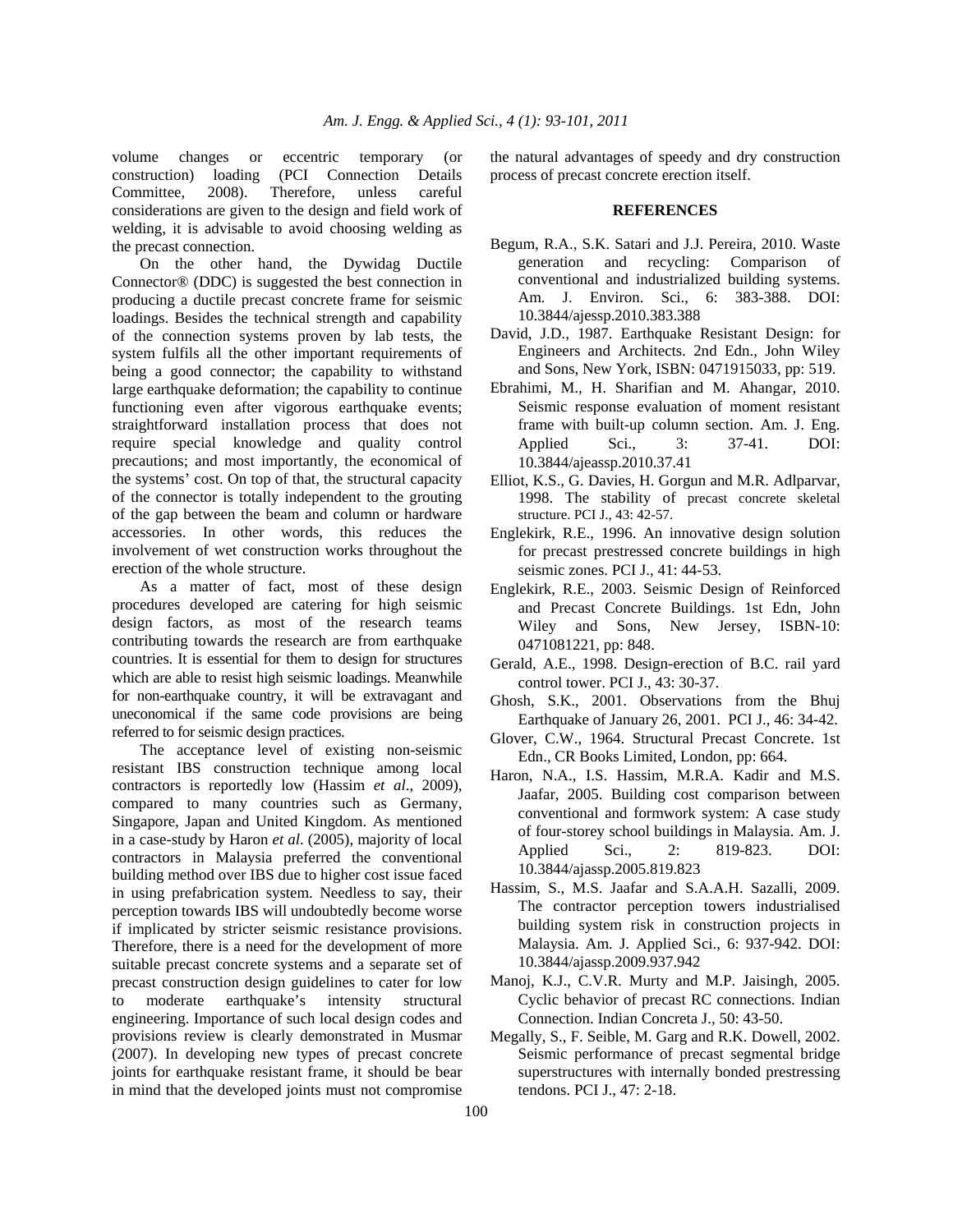volume changes or eccentric temporary (or construction) loading (PCI Connection Details Committee, 2008). Therefore, unless careful considerations are given to the design and field work of welding, it is advisable to avoid choosing welding as the precast connection.

 On the other hand, the Dywidag Ductile Connector® (DDC) is suggested the best connection in producing a ductile precast concrete frame for seismic loadings. Besides the technical strength and capability of the connection systems proven by lab tests, the system fulfils all the other important requirements of being a good connector; the capability to withstand large earthquake deformation; the capability to continue functioning even after vigorous earthquake events; straightforward installation process that does not require special knowledge and quality control precautions; and most importantly, the economical of the systems' cost. On top of that, the structural capacity of the connector is totally independent to the grouting of the gap between the beam and column or hardware accessories. In other words, this reduces the involvement of wet construction works throughout the erection of the whole structure.

 As a matter of fact, most of these design procedures developed are catering for high seismic design factors, as most of the research teams contributing towards the research are from earthquake countries. It is essential for them to design for structures which are able to resist high seismic loadings. Meanwhile for non-earthquake country, it will be extravagant and uneconomical if the same code provisions are being referred to for seismic design practices.

 The acceptance level of existing non-seismic resistant IBS construction technique among local contractors is reportedly low (Hassim *et al*., 2009), compared to many countries such as Germany, Singapore, Japan and United Kingdom. As mentioned in a case-study by Haron *et al*. (2005), majority of local contractors in Malaysia preferred the conventional building method over IBS due to higher cost issue faced in using prefabrication system. Needless to say, their perception towards IBS will undoubtedly become worse if implicated by stricter seismic resistance provisions. Therefore, there is a need for the development of more suitable precast concrete systems and a separate set of precast construction design guidelines to cater for low to moderate earthquake's intensity structural engineering. Importance of such local design codes and provisions review is clearly demonstrated in Musmar (2007). In developing new types of precast concrete joints for earthquake resistant frame, it should be bear in mind that the developed joints must not compromise

the natural advantages of speedy and dry construction process of precast concrete erection itself.

#### **REFERENCES**

- Begum, R.A., S.K. Satari and J.J. Pereira, 2010. Waste generation and recycling: Comparison of conventional and industrialized building systems. Am. J. Environ. Sci., 6: 383-388. DOI: 10.3844/ajessp.2010.383.388
- David, J.D., 1987. Earthquake Resistant Design: for Engineers and Architects. 2nd Edn., John Wiley and Sons, New York, ISBN: 0471915033, pp: 519.
- Ebrahimi, M., H. Sharifian and M. Ahangar, 2010. Seismic response evaluation of moment resistant frame with built-up column section. Am. J. Eng. Applied Sci., 3: 37-41. DOI: 10.3844/ajeassp.2010.37.41
- Elliot, K.S., G. Davies, H. Gorgun and M.R. Adlparvar, 1998. The stability of precast concrete skeletal structure. PCI J., 43: 42-57.
- Englekirk, R.E., 1996. An innovative design solution for precast prestressed concrete buildings in high seismic zones. PCI J., 41: 44-53.
- Englekirk, R.E., 2003. Seismic Design of Reinforced and Precast Concrete Buildings. 1st Edn, John Wiley and Sons, New Jersey, ISBN-10: 0471081221, pp: 848.
- Gerald, A.E., 1998. Design-erection of B.C. rail yard control tower. PCI J., 43: 30-37.
- Ghosh, S.K., 2001. Observations from the Bhuj Earthquake of January 26, 2001. PCI J., 46: 34-42.
- Glover, C.W., 1964. Structural Precast Concrete. 1st Edn., CR Books Limited, London, pp: 664.
- Haron, N.A., I.S. Hassim, M.R.A. Kadir and M.S. Jaafar, 2005. Building cost comparison between conventional and formwork system: A case study of four-storey school buildings in Malaysia. Am. J. Applied Sci., 2: 819-823. DOI: 10.3844/ajassp.2005.819.823
- Hassim, S., M.S. Jaafar and S.A.A.H. Sazalli, 2009. The contractor perception towers industrialised building system risk in construction projects in Malaysia. Am. J. Applied Sci., 6: 937-942. DOI: 10.3844/ajassp.2009.937.942
- Manoj, K.J., C.V.R. Murty and M.P. Jaisingh, 2005. Cyclic behavior of precast RC connections. Indian Connection. Indian Concreta J., 50: 43-50.
- Megally, S., F. Seible, M. Garg and R.K. Dowell, 2002. Seismic performance of precast segmental bridge superstructures with internally bonded prestressing tendons. PCI J., 47: 2-18.